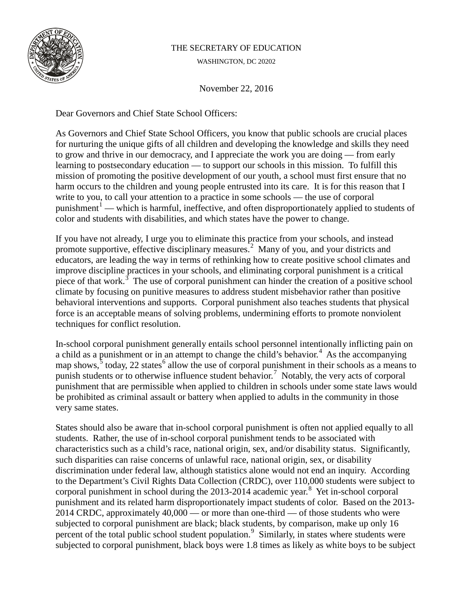

## THE SECRETARY OF EDUCATION

WASHINGTON, DC 20202

November 22, 2016

Dear Governors and Chief State School Officers:

As Governors and Chief State School Officers, you know that public schools are crucial places for nurturing the unique gifts of all children and developing the knowledge and skills they need to grow and thrive in our democracy, and I appreciate the work you are doing — from early learning to postsecondary education — to support our schools in this mission. To fulfill this mission of promoting the positive development of our youth, a school must first ensure that no harm occurs to the children and young people entrusted into its care. It is for this reason that I write to you, to call your attention to a practice in some schools — the use of corporal punishment<sup>[1](#page-2-0)</sup> — which is harmful, ineffective, and often disproportionately applied to students of color and students with disabilities, and which states have the power to change.

If you have not already, I urge you to eliminate this practice from your schools, and instead promote supportive, effective disciplinary measures.<sup>[2](#page-2-1)</sup> Many of you, and your districts and educators, are leading the way in terms of rethinking how to create positive school climates and improve discipline practices in your schools, and eliminating corporal punishment is a critical piece of that work.<sup>[3](#page-2-2)</sup> The use of corporal punishment can hinder the creation of a positive school climate by focusing on punitive measures to address student misbehavior rather than positive behavioral interventions and supports. Corporal punishment also teaches students that physical force is an acceptable means of solving problems, undermining efforts to promote nonviolent techniques for conflict resolution.

In-school corporal punishment generally entails school personnel intentionally inflicting pain on a child as a punishment or in an attempt to change the child's behavior. [4](#page-2-3) As the accompanying map shows,  $\frac{5}{3}$  $\frac{5}{3}$  $\frac{5}{3}$  today, 22 states<sup>[6](#page-2-5)</sup> allow the use of corporal punishment in their schools as a means to punish students or to otherwise influence student behavior.<sup>[7](#page-2-6)</sup> Notably, the very acts of corporal punishment that are permissible when applied to children in schools under some state laws would be prohibited as criminal assault or battery when applied to adults in the community in those very same states.

States should also be aware that in-school corporal punishment is often not applied equally to all students. Rather, the use of in-school corporal punishment tends to be associated with characteristics such as a child's race, national origin, sex, and/or disability status. Significantly, such disparities can raise concerns of unlawful race, national origin, sex, or disability discrimination under federal law, although statistics alone would not end an inquiry. According to the Department's Civil Rights Data Collection (CRDC), over 110,000 students were subject to corporal punishment in school during the 2013-2014 academic year.<sup>[8](#page-2-7)</sup> Yet in-school corporal punishment and its related harm disproportionately impact students of color. Based on the 2013- 2014 CRDC, approximately 40,000 — or more than one-third — of those students who were subjected to corporal punishment are black; black students, by comparison, make up only 16 percent of the total public school student population.<sup>[9](#page-2-8)</sup> Similarly, in states where students were subjected to corporal punishment, black boys were 1.8 times as likely as white boys to be subject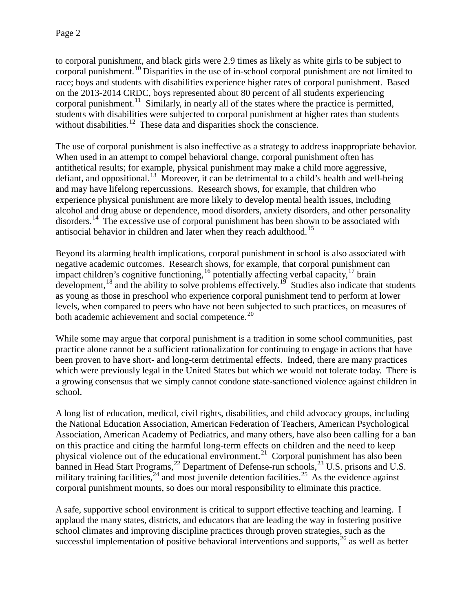to corporal punishment, and black girls were 2.9 times as likely as white girls to be subject to corporal punishment. [10](#page-3-0) Disparities in the use of in-school corporal punishment are not limited to race; boys and students with disabilities experience higher rates of corporal punishment. Based on the 2013-2014 CRDC, boys represented about 80 percent of all students experiencing corporal punishment.<sup>[11](#page-3-1)</sup> Similarly, in nearly all of the states where the practice is permitted, students with disabilities were subjected to corporal punishment at higher rates than students without disabilities.<sup>[12](#page-3-2)</sup> These data and disparities shock the conscience.

The use of corporal punishment is also ineffective as a strategy to address inappropriate behavior. When used in an attempt to compel behavioral change, corporal punishment often has antithetical results; for example, physical punishment may make a child more aggressive, defiant, and oppositional.<sup>[13](#page-3-3)</sup> Moreover, it can be detrimental to a child's health and well-being and may have lifelong repercussions. Research shows, for example, that children who experience physical punishment are more likely to develop mental health issues, including alcohol and drug abuse or dependence, mood disorders, anxiety disorders, and other personality disorders.<sup>[14](#page-3-4)</sup> The excessive use of corporal punishment has been shown to be associated with antisocial behavior in children and later when they reach adulthood. [15](#page-3-5) 

Beyond its alarming health implications, corporal punishment in school is also associated with negative academic outcomes. Research shows, for example, that corporal punishment can impact children's cognitive functioning,  $^{16}$  $^{16}$  $^{16}$  potentially affecting verbal capacity,  $^{17}$  $^{17}$  $^{17}$  brain development,  $^{18}$  $^{18}$  $^{18}$  and the ability to solve problems effectively.<sup>[19](#page-3-9)</sup> Studies also indicate that students as young as those in preschool who experience corporal punishment tend to perform at lower levels, when compared to peers who have not been subjected to such practices, on measures of both academic achievement and social competence.<sup>[20](#page-3-10)</sup>

While some may argue that corporal punishment is a tradition in some school communities, past practice alone cannot be a sufficient rationalization for continuing to engage in actions that have been proven to have short- and long-term detrimental effects. Indeed, there are many practices which were previously legal in the United States but which we would not tolerate today. There is a growing consensus that we simply cannot condone state-sanctioned violence against children in school.

A long list of education, medical, civil rights, disabilities, and child advocacy groups, including the National Education Association, American Federation of Teachers, American Psychological Association, American Academy of Pediatrics, and many others, have also been calling for a ban on this practice and citing the harmful long-term effects on children and the need to keep physical violence out of the educational environment.<sup>[21](#page-3-11)</sup> Corporal punishment has also been banned in Head Start Programs,  $^{22}$  $^{22}$  $^{22}$  Department of Defense-run schools,  $^{23}$  $^{23}$  $^{23}$  U.S. prisons and U.S. military training facilities,  $24$  and most juvenile detention facilities.  $25$  As the evidence against corporal punishment mounts, so does our moral responsibility to eliminate this practice.

A safe, supportive school environment is critical to support effective teaching and learning. I applaud the many states, districts, and educators that are leading the way in fostering positive school climates and improving discipline practices through proven strategies, such as the successful implementation of positive behavioral interventions and supports, $26$  as well as better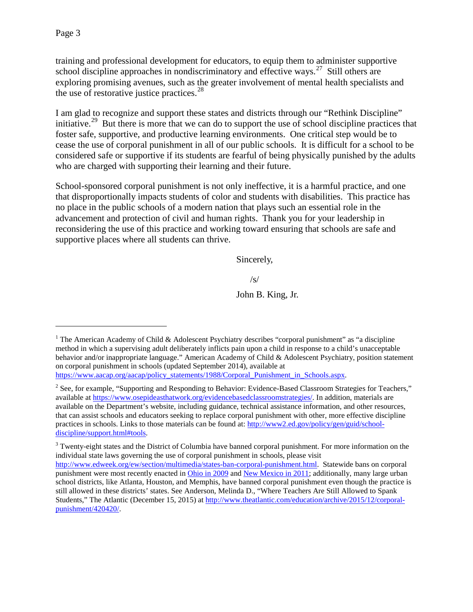<span id="page-2-3"></span>training and professional development for educators, to equip them to administer supportive school discipline approaches in nondiscriminatory and effective ways.<sup>[27](#page-4-0)</sup> Still others are exploring promising avenues, such as the greater involvement of mental health specialists and the use of restorative justice practices.<sup>[28](#page-4-1)</sup>

<span id="page-2-5"></span><span id="page-2-4"></span>I am glad to recognize and support these states and districts through our "Rethink Discipline" initiative.<sup>[29](#page-4-2)</sup> But there is more that we can do to support the use of school discipline practices that foster safe, supportive, and productive learning environments. One critical step would be to cease the use of corporal punishment in all of our public schools. It is difficult for a school to be considered safe or supportive if its students are fearful of being physically punished by the adults who are charged with supporting their learning and their future.

<span id="page-2-7"></span><span id="page-2-6"></span>School-sponsored corporal punishment is not only ineffective, it is a harmful practice, and one that disproportionally impacts students of color and students with disabilities. This practice has no place in the public schools of a modern nation that plays such an essential role in the advancement and protection of civil and human rights. Thank you for your leadership in reconsidering the use of this practice and working toward ensuring that schools are safe and supportive places where all students can thrive.

Sincerely,

/s/

John B. King, Jr.

<span id="page-2-8"></span> $\overline{a}$ 

<span id="page-2-0"></span><sup>&</sup>lt;sup>1</sup> The American Academy of Child & Adolescent Psychiatry describes "corporal punishment" as "a discipline method in which a supervising adult deliberately inflicts pain upon a child in response to a child's unacceptable behavior and/or inappropriate language." American Academy of Child & Adolescent Psychiatry, position statement on corporal punishment in schools (updated September 2014), available at [https://www.aacap.org/aacap/policy\\_statements/1988/Corporal\\_Punishment\\_in\\_Schools.aspx.](https://www.aacap.org/aacap/policy_statements/1988/Corporal_Punishment_in_Schools.aspx)

<span id="page-2-1"></span><sup>&</sup>lt;sup>2</sup> See, for example, "Supporting and Responding to Behavior: Evidence-Based Classroom Strategies for Teachers," available at [https://www.osepideasthatwork.org/evidencebasedclassroomstrategies/.](https://www.osepideasthatwork.org/evidencebasedclassroomstrategies/) In addition, materials are available on the Department's website, including guidance, technical assistance information, and other resources, that can assist schools and educators seeking to replace corporal punishment with other, more effective discipline practices in schools. Links to those materials can be found at: [http://www2.ed.gov/policy/gen/guid/school](http://www2.ed.gov/policy/gen/guid/school-discipline/support.html#tools)[discipline/support.html#tools.](http://www2.ed.gov/policy/gen/guid/school-discipline/support.html#tools)

<span id="page-2-2"></span><sup>&</sup>lt;sup>3</sup> Twenty-eight states and the District of Columbia have banned corporal punishment. For more information on the individual state laws governing the use of corporal punishment in schools, please visit

[http://www.edweek.org/ew/section/multimedia/states-ban-corporal-punishment.html.](http://www.edweek.org/ew/section/multimedia/states-ban-corporal-punishment.html) Statewide bans on corporal punishment were most recently enacted in [Ohio in 2009](http://www.hrw.org/news/2009/09/16/ohio-bans-corporal-punishment-public-schools) and [New Mexico in 2011;](http://www.huffingtonpost.com/marc-ecko/new-mexico-corporal-punishment_b_846201.html) additionally, many large urban school districts, like Atlanta, Houston, and Memphis, have banned corporal punishment even though the practice is still allowed in these districts' states. See Anderson, Melinda D., "Where Teachers Are Still Allowed to Spank Students," The Atlantic (December 15, 2015) at [http://www.theatlantic.com/education/archive/2015/12/corporal](http://www.theatlantic.com/education/archive/2015/12/corporal-punishment/420420/)[punishment/420420/.](http://www.theatlantic.com/education/archive/2015/12/corporal-punishment/420420/)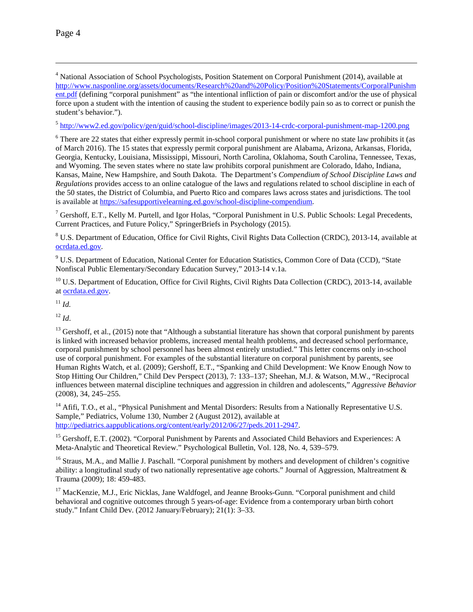Page 4

 $\overline{a}$ 

<span id="page-3-8"></span><sup>4</sup> National Association of School Psychologists, Position Statement on Corporal Punishment (2014), available at [http://www.nasponline.org/assets/documents/Research%20and%20Policy/Position%20Statements/CorporalPunishm](http://www.nasponline.org/assets/documents/Research%20and%20Policy/Position%20Statements/CorporalPunishment.pdf) [ent.pdf](http://www.nasponline.org/assets/documents/Research%20and%20Policy/Position%20Statements/CorporalPunishment.pdf) (defining "corporal punishment" as "the intentional infliction of pain or discomfort and/or the use of physical force upon a student with the intention of causing the student to experience bodily pain so as to correct or punish the student's behavior.").

<span id="page-3-9"></span><sup>5</sup> <http://www2.ed.gov/policy/gen/guid/school-discipline/images/2013-14-crdc-corporal-punishment-map-1200.png>

<span id="page-3-10"></span><sup>6</sup> There are 22 states that either expressly permit in-school corporal punishment or where no state law prohibits it (as of March 2016). The 15 states that expressly permit corporal punishment are Alabama, Arizona, Arkansas, Florida, Georgia, Kentucky, Louisiana, Mississippi, Missouri, North Carolina, Oklahoma, South Carolina, Tennessee, Texas, and Wyoming. The seven states where no state law prohibits corporal punishment are Colorado, Idaho, Indiana, Kansas, Maine, New Hampshire, and South Dakota. The Department's *Compendium of School Discipline Laws and Regulations* provides access to an online catalogue of the laws and regulations related to school discipline in each of the 50 states, the District of Columbia, and Puerto Rico and compares laws across states and jurisdictions. The tool is available at [https://safesupportivelearning.ed.gov/school-discipline-compendium.](https://safesupportivelearning.ed.gov/school-discipline-compendium)

<span id="page-3-11"></span><sup>7</sup> Gershoff, E.T., Kelly M. Purtell, and Igor Holas, "Corporal Punishment in U.S. Public Schools: Legal Precedents, Current Practices, and Future Policy," SpringerBriefs in Psychology (2015).

<sup>8</sup> U.S. Department of Education, Office for Civil Rights, Civil Rights Data Collection (CRDC), 2013-14, available at [ocrdata.ed.gov.](http://ocrdata.ed.gov/)

<sup>9</sup> U.S. Department of Education, National Center for Education Statistics, Common Core of Data (CCD), "State Nonfiscal Public Elementary/Secondary Education Survey," 2013-14 v.1a.

<span id="page-3-12"></span><span id="page-3-0"></span><sup>10</sup> U.S. Department of Education, Office for Civil Rights, Civil Rights Data Collection (CRDC), 2013-14, available a[t ocrdata.ed.gov.](http://ocrdata.ed.gov/)

<span id="page-3-13"></span><span id="page-3-1"></span><sup>11</sup> *Id.*

<span id="page-3-2"></span> $12$  *Id.* 

<span id="page-3-14"></span><span id="page-3-3"></span><sup>13</sup> Gershoff, et al., (2015) note that "Although a substantial literature has shown that corporal punishment by parents is linked with increased behavior problems, increased mental health problems, and decreased school performance, corporal punishment by school personnel has been almost entirely unstudied." This letter concerns only in-school use of corporal punishment. For examples of the substantial literature on corporal punishment by parents, see Human Rights Watch, et al. (2009); Gershoff, E.T., "Spanking and Child Development: We Know Enough Now to Stop Hitting Our Children," Child Dev Perspect (2013), 7: 133–137; Sheehan, M.J. & Watson, M.W., "Reciprocal influences between maternal discipline techniques and aggression in children and adolescents," *Aggressive Behavior* (2008), 34, 245–255.

<span id="page-3-16"></span><span id="page-3-15"></span><span id="page-3-4"></span> $14$  Afifi, T.O., et al., "Physical Punishment and Mental Disorders: Results from a Nationally Representative U.S. Sample," Pediatrics, Volume 130, Number 2 (August 2012), available at [http://pediatrics.aappublications.org/content/early/2012/06/27/peds.2011-2947.](http://pediatrics.aappublications.org/content/early/2012/06/27/peds.2011-2947)

<span id="page-3-5"></span><sup>15</sup> Gershoff, E.T. (2002). "Corporal Punishment by Parents and Associated Child Behaviors and Experiences: A Meta-Analytic and Theoretical Review." Psychological Bulletin, Vol. 128, No. 4, 539–579.

<span id="page-3-6"></span><sup>16</sup> Straus, M.A., and Mallie J. Paschall. "Corporal punishment by mothers and development of children's cognitive ability: a longitudinal study of two nationally representative age cohorts." Journal of Aggression, Maltreatment & Trauma (2009); 18: 459-483.

<span id="page-3-7"></span><sup>17</sup> MacKenzie, M.J., Eric Nicklas, Jane Waldfogel, and Jeanne Brooks-Gunn. "Corporal punishment and child behavioral and cognitive outcomes through 5 years-of-age: Evidence from a contemporary urban birth cohort study." Infant Child Dev. (2012 January/February); 21(1): 3–33.